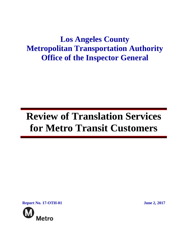## **Los Angeles County Metropolitan Transportation Authority Office of the Inspector General**

# **Review of Translation Services for Metro Transit Customers**

**Report No. 17-OTH-01 June 2, 2017**

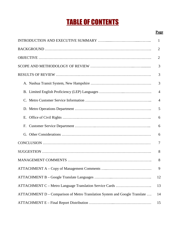## TABLE OF CONTENTS

#### **Page**

|                                                                            | 1              |
|----------------------------------------------------------------------------|----------------|
|                                                                            | 2              |
|                                                                            | $\overline{2}$ |
|                                                                            | 3              |
|                                                                            | 3              |
|                                                                            | 3              |
|                                                                            | 4              |
|                                                                            | $\overline{4}$ |
|                                                                            | 5              |
|                                                                            | 6              |
|                                                                            | 6              |
|                                                                            | 6              |
|                                                                            | 7              |
|                                                                            | 8              |
|                                                                            | 8              |
|                                                                            | 9              |
|                                                                            | 12             |
|                                                                            | 13             |
| ATTACHMENT D - Comparison of Metro Translation System and Google Translate | 14             |
|                                                                            | 15             |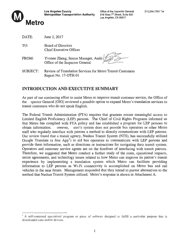

| Office of the Inspector General            |
|--------------------------------------------|
| 818 West 7 <sup>th</sup> Street, Suite 500 |
| Los Angeles, CA 90017                      |

| DATE:           | June 2, 2017                                                                       |
|-----------------|------------------------------------------------------------------------------------|
| TO:             | <b>Board of Directors</b><br><b>Chief Executive Officer</b>                        |
| FROM:           | Yvonne Zheng, Senior Manager, Audit<br>Office of the Inspector General             |
| <b>SUBJECT:</b> | Review of Translation Services for Metro Transit Customers<br>Report No. 17-OTH-01 |

## **INTRODUCTION AND EXECUTIVE SUMMARY**  INTRODUCTION AND EXECUTIVE SUMMARY

As part of our continuing effort to assist Metro to improve transit customer service, the Office of As par<sup>t</sup> of our continuing effort to assist Metro to improve transit customer service, the Office of the spector General (OIG) reviewed a possible option to expand Metro's translation services to transit customers who do not speak English. transit customers who do not speak English.

The Federal Transit Administration (FTA) requires that grantees ensure meaningful access to The Federal Transit Administration (fTA) requires that grantees ensure meaningful access to Limited English Proficiency (LEP) persons. The Chief of Civil Rights Programs informed us Limited English Proficiency (LEP) persons. The Chief of Civil Rights Programs informed us that Metro has complied with FTA policy and has established a program for LEP persons to obtain information. owever, etro's system does not provide bus operators or other Metro staff who regularly interface with patrons a method to directly communicate with LEP patrons. staff who regularly interface with patrons <sup>a</sup> method to directly communicate with LEP patrons. Our review found that a transit agency, Nashua Transit System (NTS), has successfully utilized Our review found that <sup>a</sup> transit agency, Nashua Transit System (NTS), has successfully utilized Google Translate (a free App<sup>1</sup>) to aid bus operators to communicate with LEP persons and provide them information, such as directions or instructions for navigating their transit system. provide them information, such as directions or instructions for navigating their transit system. Operators and customer service agents are on the forefront of interfacing with transit patrons. Operators and customer service agents are on the forefront of interfacing with transit patrons. Therefore, we suggested that Metro conduct a further study of the costs, operational impacts, Therefore, we suggested that Metro conduct <sup>a</sup> further study of the costs, operational impacts, union agreements, and technology issues related to how Metro can improve its patron's transit union agreements, and technology issues related to how Metro can improve its patron's transit experience by implementing a translation system which Metro can facilitate providing experience by implementing <sup>a</sup> translation system which Metro can facilitate providing information to LEP persons as Wi-Fi connectivity is accomplished on Metro bus and rail information to LEP persons as Wi-Fi connectivity is accomplished on Metro bus and rail vehicles in the near future. Management responded that they intend to pursue alternatives to the vehicles in the near future. Management responded that they intend to pursue alternatives to the method that Nashua Transit System utilized. Metro's response is shown in Attachment A. method that Nashua Transit System utilized. Metro's response is shown in Attachment A.

A self-contained specialized program or piece of software designed to fulfill a particular purpose that is A self-contained specialized program or piece of software designed to fulfill <sup>a</sup> particular purpose that is downloaded onto mobile devices. downloaded onto mobile devices.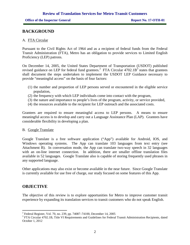## **BACKGROUND**

#### A. FTA Circular

Pursuant to the Civil Rights Act of 1964 and as a recipient of federal funds from the Federal Transit Administration (FTA), Metro has an obligation to provide services to Limited English Proficiency (LEP) patrons.

On December 14, 2005, the United States Department of Transportation (USDOT) published revised guidance on LEP for federal fund grantees.<sup>2</sup> FTA Circular 4702.1B<sup>3</sup> states that grantees shall document the steps undertaken to implement the USDOT LEP Guidance necessary to provide "meaningful access" on the basis of four factors:

- (1) the number and proportion of LEP persons served or encountered in the eligible service population,
- (2) the frequency with which LEP individuals come into contact with the program,
- (3) the nature and importance to people's lives of the program, activity, or service provided,
- (4) the resources available to the recipient for LEP outreach and the associated costs.

Grantees are required to ensure meaningful access to LEP persons. A means to ensure meaningful access is to develop and carry out a Language Assistance Plan (LAP). Grantees have considerable flexibility in developing a plan.

#### B. Google Translate

Google Translate is a free software application ("App") available for Android, IOS, and Windows operating systems. The App can translate 103 languages from text entry (see Attachment B). In conversation mode, the App can translate two-way speech in 32 languages with an on-line internet connection. In addition, there are smaller offline translation files available in 52 languages. Google Translate also is capable of storing frequently used phrases in any supported language.

Other applications may also exist or become available in the near future. Since Google Translate is currently available for use free of charge, our study focused on some features of this App.

#### **OBJECTIVE**

The objective of this review is to explore opportunities for Metro to improve customer transit experience by expanding its translation services to transit customers who do not speak English.

<sup>2</sup> Federal Register, Vol. 70, no. 239, pp. 74087–74100, December 14, 2005

<sup>&</sup>lt;sup>3</sup> FTA Circular 4702.1B, Title VI Requirements and Guidelines for Federal Transit Administration Recipients, dated October 1, 2012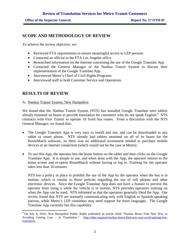## **SCOPE AND METHODOLOGY OF REVIEW**

To achieve the review objective, we:

- Reviewed FTA requirements to ensure meaningful access to LEP persons
- Contacted an official in the FTA Los Angeles office
- Researched information on the Internet concerning the use of the Google Translate App
- Contacted the General Manager of the Nashua Transit System to discuss their implementation of the Google Translate App
- Interviewed Metro's Chief of Civil Rights Programs
- Interviewed staff in both Customer Service and Operations

## **RESULTS OF REVIEW**

#### A. Nashua Transit System, New Hampshire

We found that the Nashua Transit System (NTS) has installed Google Translate onto tablets already mounted on buses to provide translation for customers who do not speak English.<sup>4</sup> NTS contracts with First Transit to operate 10 fixed bus routes. From a discussion with the NTS General Manager, we found that:

- The Google Translate App is very easy to install and use, and can be downloaded to any tablet or smart phone. NTS already had tablets mounted on all of its buses for the RouteMatch software, so there was no additional investment needed to purchase mobile devices or an internet connection (which would not be the case at Metro).
- To use this App, the operator hits the home button on the tablet and then clicks on the Google Translate App. It is simple to use, and when done with the App, the operator returns to the home screen and re-opens RouteMatch without having to log in. Training for the operator takes less than 10 minutes.

NTS has a policy in place to prohibit the use of the App by the operator when the bus is in motion, which is similar to those policies regarding the use of cell phones and other electronic devices. Since the Google Translate App does not have a feature to prevent the operator from using it while the vehicle is in motion, NTS provides operators training on when the App can be used. NTS informed us that the operators generally liked the App. Our review found that NTS are normally communicating only with English or Spanish-speaking patrons, while Metro's LEP customers may need support for more languages. The Google Translate App currently has this capability.

<sup>4</sup> On July 4, 2016, New Hampshire Public Radio published an article titled "Nashua Buses Find New Way to Avoiding Getting Lost – in Translation." http://nhpr.org/post/nashua-buses-find-new-way-avoid-getting-losttranslation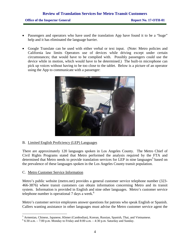- Passengers and operators who have used the translation App have found it to be a "huge" help and it has eliminated the language barrier.
- Google Translate can be used with either verbal or text input. (Note: Metro policies and California law limits Operators use of devices while driving except under certain circumstances; that would have to be complied with. Possibly passengers could use the device while in motion, which would have to be determined.) The built-in microphone can pick up voices without having to be too close to the tablet. Below is a picture of an operator using the App to communicate with a passenger:



B. Limited English Proficiency (LEP) Languages

There are approximately 120 languages spoken in Los Angeles County. The Metro Chief of Civil Rights Programs stated that Metro performed the analysis required by the FTA and determined that Metro needs to provide translation services for LEP in nine languages<sup>5</sup> based on the prevalence of these languages spoken in the Los Angeles County transit population.

#### C. Metro Customer Service Information

Metro's public website (metro.net) provides a general customer service telephone number (323- 466-3876) where transit customers can obtain information concerning Metro and its transit system. Information is provided in English and nine other languages. Metro's customer service telephone number is operational  $7$  days a week.<sup>6</sup>

Metro's customer service employees answer questions for patrons who speak English or Spanish. Callers wanting assistance in other languages must advise the Metro customer service agent the

<sup>5</sup> Armenian, Chinese, Japanese, Khmer (Cambodian), Korean, Russian, Spanish, Thai, and Vietnamese.

 $66:30$  a.m.  $-7:00$  p.m. Monday to Friday and 8:00 a.m.  $-4:30$  p.m. Saturday and Sunday.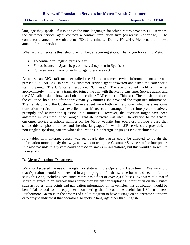#### **Office of the Inspector General <b>Report No. 17-OTH-01**

language they speak. If it is one of the nine languages for which Metro provides LEP services, the customer service agent contacts a contract translation firm (currently Lionbridge). The contractor charges ninety-nine cents (\$0.99) a minute. During FY 2016, Metro paid a modest amount for this service.

When a customer calls this telephone number, a recording states: Thank you for calling Metro:

- To continue in English, press or say 1
- For assistance in Spanish, press or say 2 (spoken in Spanish)
- For assistance in any other language, press or say 3

As a test, an OIG staff member called the Metro customer service information number and pressed "3." An English speaking customer service agent answered and asked the caller for a starting point. The OIG caller responded "Chinese." The agent replied "hold on." After approximately 4 minutes, a translator joined the call with the Metro Customer Service agent, and the OIG caller asked "how can I obtain a college TAP card" (in Chinese). The translator placed the caller on hold, and after approximately 5 minutes she provided the requested information. The translator and the Customer Service agent were both on the phone, which is a real-time translation service. It was excellent that Metro could arrange for an interpreter relatively promptly and answer the question in 9 minutes. However, the question might have been answered in less time if the Google Translate software was used. In addition to the general customer service telephone number on the Metro website, bus operators provide a card that shows this telephone number and the nine languages for which LEP services are provided; to non-English speaking patrons who ask questions in a foreign language (see Attachment C).

If a tablet with Internet access was on board, the patron could be directed to obtain the information more quickly that way, and without using the Customer Service staff or interpreter. It is also possible this system could be used in kiosks in rail stations, but this would also require more study.

#### D. Metro Operations Department

We also discussed the use of Google Translate with the Operations Department. We were told that Operations would be interested in a pilot program for this service but would need to further study this App, including cost since Metro has a fleet of over 2,000 buses. We were told that if Metro migrates to an audio-visual annunciator system for displaying information on their buses such as routes, time points and navigation information on its vehicles, this application would be beneficial to add to the equipment considering that it could be useful for LEP customers. Furthermore, Metro is in the process of a pilot program to have signage on an operator's uniform or nearby to indicate if that operator also spoke a language other than English.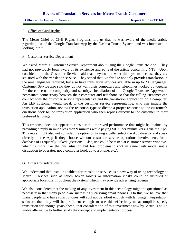#### **Office of the Inspector General <b>Report No. 17-OTH-01**

#### E. Office of Civil Rights

The Metro Chief of Civil Rights Programs told us that he was aware of the media article regarding use of the Google Translate App by the Nashua Transit System, and was interested in looking into it.

#### F. Customer Service Department

We asked Metro's Customer Service Department about using the Google Translate App. They had not previously been aware of its existence and so read the article concerning NTS. Upon consideration, the Customer Service said that they do not want this system because they are satisfied with the translation service. They stated that Lionbridge not only provides translation in the nine languages required, but also have translation services available in up to 200 languages. Customer Service also said they do not want their computers and telephones hooked up together for the concerns of complexity and security. Installation of the Google Translate App would necessitate connectivity between their computer and telephone so that the calling customer can connect with the customer service representative and the translation application on a computer. An LEP customer would speak to the customer service representative, who can initiate the translation application, review the response, type or dictate a proper response to the customer's questions back to the translation application who then replies directly to the customer in their preferred language.

This response does not appear to consider the improved performance that might be attained by providing a reply in much less than 9 minutes while paying \$0.99 per minute versus via the App. This reply might also not consider the option of having a caller select the App directly and speak directly to the App if they choose without customer service operations involvement, for a database of Frequently Asked Questions. Also, use could be tested at customer service windows, which is more like the bus situation but less problematic (not in same rush mode, not a distraction to operator, not a computer hook up to a phone, etc.).

#### G. Other Considerations

We understand that installing tablets for translation services is a new way of using technology at Metro. Devices such as touch screen tablets or information kiosks could be installed at appropriate locations throughout the system, which may provide advertising revenue.

We also considered that the making of any investment in this technology might be questioned as necessary in that many people are increasingly carrying smart phones. On this, we believe that many people who have smart phones will still not be adroit enough with language interpretation software that they will be proficient enough to use this effectively to accomplish speedy translation for enough years ahead, that consideration of this investment now by Metro is still a viable alternative to further study the concept and implementation process.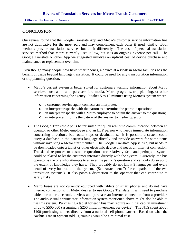## **CONCLUSION**

Our review found that the Google Translate App and Metro's customer service information line are not duplicative for the most part and may complement each other if used jointly. Both methods provide translation services but do it differently. The cost of personal translation services method that Metro currently uses is low, but it is an ongoing expense per call. The Google Translate or other App we suggested involves an upfront cost of device purchase and maintenance or replacement over time.

Even though many people now have smart phones, a device at a kiosk in Metro facilities has the benefit of usage beyond language translation. It could be used for any transportation information or trip planning question.

- Metro's current system is better suited for customers wanting information about Metro services, such as how to purchase fare media, Metro programs, trip planning, or other information concerning the agency. It takes 5 to 10 minutes using Metro's system where
	- o a customer service agent connects an interpreter;
	- o an interpreter speaks with the patron to determine the patron's question;
	- o an interpreter speaks with a Metro employee to obtain the answer to the question;
	- o an interpreter informs the patron of the answer to his/her question.
- The Google Translate App is better suited for quick real time communication between an operator or other Metro employee and an LEP person who needs immediate information concerning directions, bus route, stops or destinations. It is possible a system could query a database in the patron's language directly and provide answers for some items without involving a Metro staff member. The Google Translate App is free, but needs to be downloaded onto a tablet or other electronic device and needs an Internet connection. Translated responses to customer questions are relatively fast; and perhaps a system could be placed to let the customer interface directly with the system. Currently, the bus operator is the one who attempts to answer the patron's question and can only do so up to the extent of knowledge they have. They probably do not know 9 languages and every detail of every bus route in the system. (See Attachment D for comparison of the two translation systems.) It also poses a distraction to the operator that can contribute to safety risks.
- Metro buses are not currently equipped with tablets or smart phones and do not have internet connections. If Metro desires to use Google Translate, it will need to purchase tablets or other electronic devices and purchase an Internet connection from a provider. The audio-visual annunciator information system mentioned above might also be able to use this system. Purchasing a tablet for each bus may require an initial capital investment of up to \$500,000 (assuming a \$250 initial investment per device). The NTS spent about \$400 purchasing tablets directly from a national cell phone carrier. Based on what the Nashua Transit System told us, training would be a minimal cost.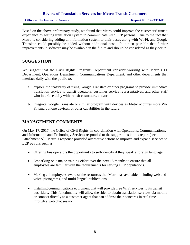Based on the above preliminary study, we found that Metro could improve the customers' transit experience by testing translation system to communicate with LEP persons. Due to the fact that Metro is considering adding an information system to their buses along with Wi-Fi; and Google Translate could possibly be added without additional cost. It is also possible that further improvements in software may be available in the future and should be considered as they occur.

#### **SUGGESTION**

We suggest that the Civil Rights Programs Department consider working with Metro's IT Department, Operations Department, Communications Department, and other departments that interface daily with the public to:

- a. explore the feasibility of using Google Translate or other programs to provide immediate translation service to transit operators, customer service representatives, and other staff who interface daily with transit customers, and/or
- b. integrate Google Translate or similar program with devices as Metro acquires more Wi-Fi, smart phone devices, or other capabilities in the future.

### **MANAGEMENT COMMENTS**

On May 17, 2017, the Office of Civil Rights, in coordination with Operations, Communications, and Information and Technology Services responded to the suggestions in this report (see Attachment A). Metro's response provided alternative actions to improve and expand services to LEP patrons such as:

- Offering bus operators the opportunity to self-identify if they speak a foreign language.
- Embarking on a major training effort over the next 18 months to ensure that all employees are familiar with the requirements for serving LEP populations.
- Making all employees aware of the resources that Metro has available including web and voice, pictograms, and multi-lingual publications.
- Installing communications equipment that will provide free WiFi services to its transit bus riders. This functionality will allow the rider to obtain translation services via mobile or connect directly to a customer agent that can address their concerns in real time through a web chat session.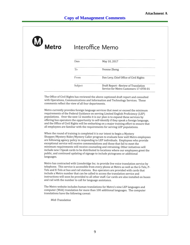| $\boldsymbol{\mathsf{w}}$<br>Metro | Interoffice Memo |                                                                             |
|------------------------------------|------------------|-----------------------------------------------------------------------------|
|                                    | Date             | May 10, 2017                                                                |
|                                    | To               | Yvonne Zheng                                                                |
|                                    | From             | Dan Levy, Chief Office of Civil Rights                                      |
|                                    | Subject          | Draft Report-Review of Translation<br>Service for Metro Customers 17-OTH-01 |

The Office of Civil Rights has reviewed the above captioned draft report and consulted with Operations, Communications and Information and Technology Services. These comments reflect the view of all four departments.

Metro currently provides foreign language services that meet or exceed the minimum requirements of the Federal Guidance on serving Limited English Proficiency (LEP) populations. Over the next 12 months it is our plan is to expand these services by offering bus operators the opportunity to self-identify if they speak a foreign language, and the Office of Civil Rights will be embarking on a major training effort to ensure that all employees are familiar with the requirements for serving LEP populations.

When the round of training is completed it is our intent to begin a Mystery Shopper/Mystery Rider/Mystery Caller program to evaluate how well Metro employees are following agency policy in responding to LEP individuals. Employees who provide exceptional service will receive commendations and those that fail to meet the minimum requirements will receive counseling and retraining. Other initiatives will include new I Speak cards to be distributed to locations where our employees greet the public, and continued updating of signage to include pictograms or additional languages.

Metro has contracted with Lionsbridge Inc. to provide live voice translation service by telephone. This service is accessible from every phone at Metro as well as the G-Tels, P-Tels and E-Tels at bus and rail stations. Bus operators are provided with cards that include a Metro number that can be called to access the translation service and instructions will soon be provided to all other staff. Car cards are also installed on buses and rail with the number to call for language assistance.

The Metro website includes human translations for Metro's nine LEP languages and computer (Web) translation for more than 100 additional languages. The computer translations have the following caveat:

*Web Translation*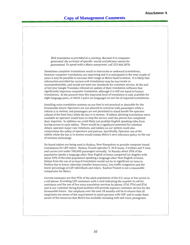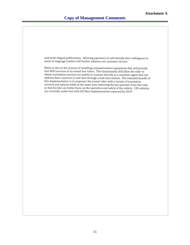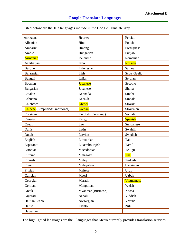| Listed below are the 103 languages include in the Google Translate App |  |
|------------------------------------------------------------------------|--|
|------------------------------------------------------------------------|--|

| <b>Afrikaans</b>                 | Hebrew             | Persian             |
|----------------------------------|--------------------|---------------------|
| Albanian                         | Hindi              | Polish              |
| Amharic                          | Hmong              | Portuguese          |
| Arabic                           | Hungarian          | Punjabi             |
| Armenian                         | Icelandic          | Romanian            |
| Azerbaijani                      | Igbo               | Russian             |
| <b>Basque</b>                    | Indonesian         | Samoan              |
| Belarusian                       | Irish              | <b>Scots Gaelic</b> |
| Bengali                          | Italian            | Serbian             |
| Bosnian                          | <b>Japanese</b>    | Sesotho             |
| Bulgarian                        | Javanese           | Shona               |
| Catalan                          | Kannada            | Sindhi              |
| Cebuano                          | Kazakh             | Sinhala             |
| Chichewa                         | Khmer              | Slovak              |
| Chinese (Simplified/Traditional) | Korean             | Slovenian           |
| Corsican                         | Kurdish (Kurmanji) | Somali              |
| Croatian                         | Kyrgyz             | Spanish             |
| Czech                            | Lao                | Sundanese           |
| Danish                           | Latin              | Swahili             |
| Dutch                            | Latvian            | Swedish             |
| English                          | Lithuanian         | Tajik               |
| Esperanto                        | Luxembourgish      | Tamil               |
| Estonian                         | Macedonian         | Telugu              |
| Filipino                         | Malagasy           | Thai                |
| Finnish                          | Malay              | Turkish             |
| French                           | Malayalam          | Ukrainian           |
| Frisian                          | Maltese            | Urdu                |
| Galician                         | Maori              | <b>Uzbek</b>        |
| Georgian                         | Marathi            | Vietnamese          |
| German                           | Mongolian          | Welsh               |
| Greek                            | Myanmar (Burmese)  | Xhosa               |
| Gujarati                         | Nepali             | Yiddish             |
| Haitian Creole                   | Norwegian          | Yoruba              |
| Hausa                            | Pashto             | Zulu                |
| Hawaiian                         |                    |                     |

The highlighted languages are the 9 languages that Metro currently provides translation services.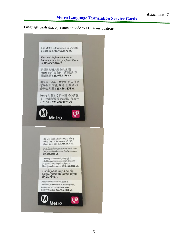Language cards that operators provide to LEP transit patrons. Language cards that operators provide to LEP transit patrons.

N **biet th6ng tin ye Metro bing tteng Viet, yui 'Ong goi** s6 **dien**  thoai duới đây 323.466.3876 x3. สำหรับขอมูลเกี่ยวกับรถโดยลารเมโทรเป็นภาษา [ไทย] กรุณาติดต่อที่หมายเลขโทรศัพท์ดานล่าง **323.466.3876 x3.**  Utmpnjh duuhli huytipta Laqini տեղեկություններ ստանալու hunfum.  $[$ ulu $\eta$ ntul t $\log$ qw $\log$ ulupti $\log$ htanniunututuudtupntf **323.466.3876 x3.**  សំរាប់ព័ត្យមានអំពី<sup>÷</sup>ពេរ្យ ជាភាសាខ្មែរ  $\alpha$ uga $\alpha$ inatolang kalendari mu 323.466.3876 x3. Для получения информации о **Metro на русском языке, пожалуйста,** позвоните по указанному ниже номеру телефон **323.466.3876 x3.** For Metro information in English. please call 323.466.3876 xl. Para más información sobre Metro en español, por favor llame al **323.466.3876 x2.**  若需洛杉磯大都會交通局I Metro 的中文資料, 請聯絡以下 **ramte3 323.466.3876 x3.**  메트로I Metro 정보를 한국어로 알아보시려면, 아래 번호로 전 화하십시오 323.466.3876 x3. Metro に関する日本語での情報 は、の電話番号でお問い合わせ ください 323.466.3876 x3. **<sup>125</sup> <f) Metro Metro**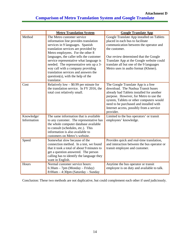## **Comparison of Metro Translation System and Google Translate**

|                           | <b>Metro Translation System</b>                                                                                                                                                                                                                                                                                                                                                                                                                           | <b>Google Translate App</b>                                                                                                                                                                                                                                                                                       |
|---------------------------|-----------------------------------------------------------------------------------------------------------------------------------------------------------------------------------------------------------------------------------------------------------------------------------------------------------------------------------------------------------------------------------------------------------------------------------------------------------|-------------------------------------------------------------------------------------------------------------------------------------------------------------------------------------------------------------------------------------------------------------------------------------------------------------------|
| Method                    | The Metro customer service<br>information line provides translation<br>services in 9 languages. Spanish<br>translation services are provided by<br>Metro employees. For the other 8<br>languages, the caller tells the customer<br>service representative what language is<br>needed. The representative sets up a 3-<br>way call with a company providing<br>translation services and answers the<br>$question(s)$ , with the help of the<br>translator. | Google Translate App installed on Tablets<br>placed in each bus to facilitate<br>communication between the operator and<br>the customer.<br>Our review determined that the Google<br>Translate App at the Google website could<br>translate all but one of the 9 languages<br>Metro uses in audio format (Khmer). |
| Cost                      | Relatively low $-$ \$0.99 per minute for<br>the translation service. In FY 2016, the<br>total cost relatively small.                                                                                                                                                                                                                                                                                                                                      | The Google Translate App is a free<br>download. The Nashua Transit buses<br>already had Tablets installed for another<br>purpose. However, for Metro to use the<br>system, Tablets or other computers would<br>need to be purchased and installed with<br>Internet access, possibly from a service<br>provider.   |
| Knowledge/<br>Information | The same information that is available<br>to any customer. The representative has<br>the whole computer database available<br>to consult (schedules, etc.). This<br>information is also available to<br>customers on Metro's website.                                                                                                                                                                                                                     | Limited to the bus operators' or transit<br>employees' knowledge.                                                                                                                                                                                                                                                 |
| Speed                     | Somewhat slow because of the<br>connection method. In a test, we found<br>that it took a total of about 9 minutes to<br>get a question answered. The person<br>calling has to identify the language they<br>want in English.                                                                                                                                                                                                                              | Provides quick and real-time translation,<br>and interaction between the bus operator or<br>transit employee and customer.                                                                                                                                                                                        |
| Hours                     | Normal customer service hours:<br>6:30am - 7pm (Monday - Friday)<br>8:00am - 4:30pm (Saturday - Sunday                                                                                                                                                                                                                                                                                                                                                    | Anytime the bus operator or transit<br>employee is on duty and available to talk.                                                                                                                                                                                                                                 |

Conclusion: These two methods are not duplicative, but could complement each other if used judiciously.